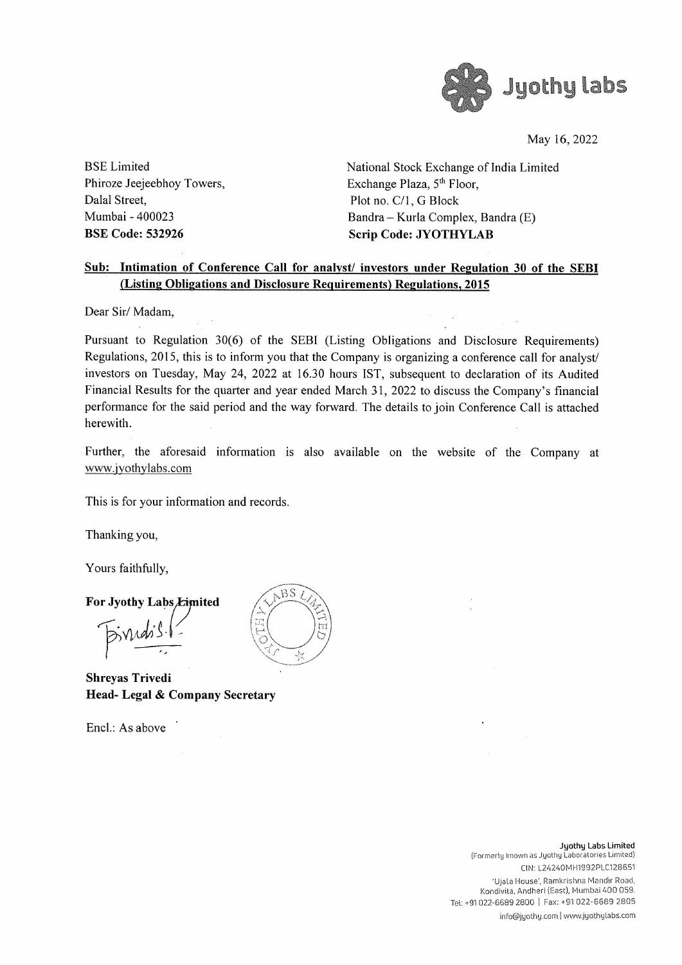

May 16, 2022

Phiroze Jeejeebhoy Towers, Exchange Plaza, 5<sup>th</sup> Floor, Dalal Street, Plot no. C/1, G Block

BSE Limited National Stock Exchange of India Limited Mumbai - 400023 Bandra — Kurla Complex, Bandra (E) BSE Code: 532926 Scrip Code: JYOTHYLAB

### Sub: Intimation of Conference Call for analyst/ investors under Regulation 30 of the SEBI (Listing Obligations and Disclosure Requirements) Regulations, 2015

Dear Sir/ Madam,

Pursuant to Regulation 30(6) of the SEBI (Listing Obligations and Disclosure Requirements) Regulations, 2015, this is to inform you that the Company is organizing a conference call for analyst/ investors on Tuesday, May 24, 2022 at 16.30 hours IST, subsequent to declaration of its Audited Financial Results for the quarter and year ended March 31, 2022 to discuss the Company's financial performance for the said period and the way forward. The details to join Conference Call is attached herewith.

Further, the aforesaid information is also available on the website of the Company at www.jyothylabs.com

This is for your information and records.

Thanking you,

Yours faithfully,

### For Jyothy Labs Eimited

 $5$  indis  $\frac{1}{2}$  $\overline{\phantom{a}}$ 

Shreyas Trivedi Head- Legal & Company Secretary

Encl.: As above



Formerly known as<br>ClN:<br>Ujala House<br>Kondivita, Andh<br>Tel: +91 022-6689 2800<br>info@jyot Jyathy Labs Limited (Formerly known as Jyothy Laboratories Limited) CIN: L24240MH1992PLC128651 'Ujala House', Ramkrishna Mandir Road, Kondivita, Andheri (East), Mumbai 400 059. Tel: +91 022-6689 2800 | Fax: +91 022-6689 2805

info@jyothy.com | www jyathylabs.com